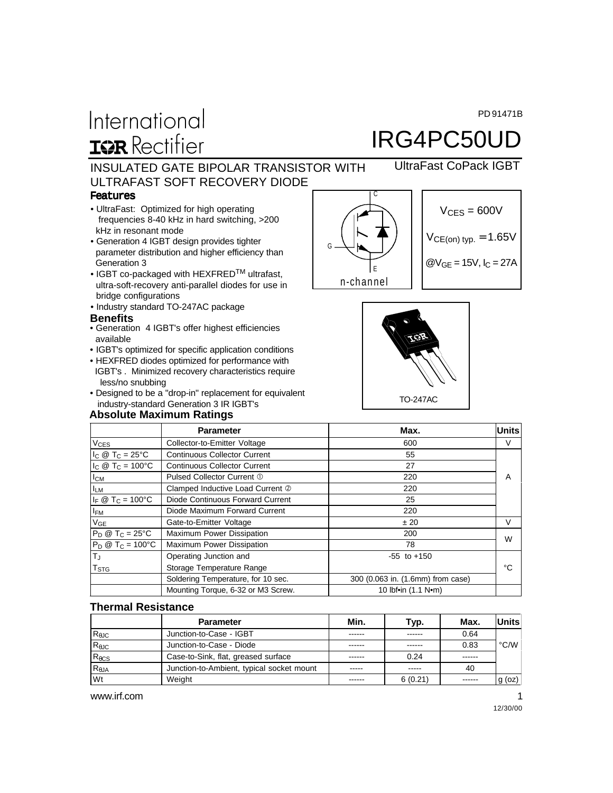PD 91471B

# International **IGR** Rectifier

# IRG4PC50UD

UltraFast CoPack IGBT

### INSULATED GATE BIPOLAR TRANSISTOR WITH ULTRAFAST SOFT RECOVERY DIODE

#### Features

- UltraFast: Optimized for high operating frequencies 8-40 kHz in hard switching, >200 kHz in resonant mode
- Generation 4 IGBT design provides tighter parameter distribution and higher efficiency than Generation 3
- IGBT co-packaged with HEXFRED<sup>TM</sup> ultrafast, ultra-soft-recovery anti-parallel diodes for use in bridge configurations
- Industry standard TO-247AC package

#### **Benefits**

- Generation 4 IGBT's offer highest efficiencies available
- IGBT's optimized for specific application conditions
- HEXFRED diodes optimized for performance with IGBT's . Minimized recovery characteristics require less/no snubbing
- Designed to be a "drop-in" replacement for equivalent industry-standard Generation 3 IR IGBT's

#### **Absolute Maximum Ratings**







|                            | <b>Parameter</b>                    | Max.                              | <b>Units</b> |  |
|----------------------------|-------------------------------------|-----------------------------------|--------------|--|
| <b>V<sub>CES</sub></b>     | Collector-to-Emitter Voltage        | 600                               | v            |  |
| $I_C @ T_C = 25^{\circ}C$  | <b>Continuous Collector Current</b> | 55                                |              |  |
| $I_C @ T_C = 100°C$        | <b>Continuous Collector Current</b> | 27                                |              |  |
| $I_{CM}$                   | Pulsed Collector Current 1          | 220                               | A            |  |
| <b>ILM</b>                 | Clamped Inductive Load Current 2    | 220                               |              |  |
| $I_F @ T_C = 100^{\circ}C$ | Diode Continuous Forward Current    | 25                                |              |  |
| $I_{FM}$                   | Diode Maximum Forward Current       | 220                               |              |  |
| $V_{GE}$                   | Gate-to-Emitter Voltage             | ± 20                              | V            |  |
| $P_D @ T_C = 25°C$         | <b>Maximum Power Dissipation</b>    | 200                               | W            |  |
| $P_D @ T_C = 100°C$        | Maximum Power Dissipation           | 78                                |              |  |
| T <sub>J</sub>             | Operating Junction and              | $-55$ to $+150$                   |              |  |
| $T_{\text{STG}}$           | Storage Temperature Range           |                                   | °C           |  |
|                            | Soldering Temperature, for 10 sec.  | 300 (0.063 in. (1.6mm) from case) |              |  |
|                            | Mounting Torque, 6-32 or M3 Screw.  | 10 lbf•in (1.1 N•m)               |              |  |

#### **Thermal Resistance**

|                 | <b>Parameter</b>                          | Min.   | Typ.    | Max.    | <b>Units</b>   |
|-----------------|-------------------------------------------|--------|---------|---------|----------------|
| $R_{\theta$ JC  | Junction-to-Case - IGBT                   | ------ | ------  | 0.64    |                |
| $R_{\theta$ JC  | Junction-to-Case - Diode                  | ------ | ------  | 0.83    | $^{\circ}$ C/W |
| $R_{\theta}$ CS | Case-to-Sink, flat, greased surface       | ------ | 0.24    | ------  |                |
| $R_{\theta$ JA  | Junction-to-Ambient, typical socket mount | -----  | -----   | 40      |                |
| Wt              | Weight                                    |        | 6(0.21) | ------- | $g$ (oz)       |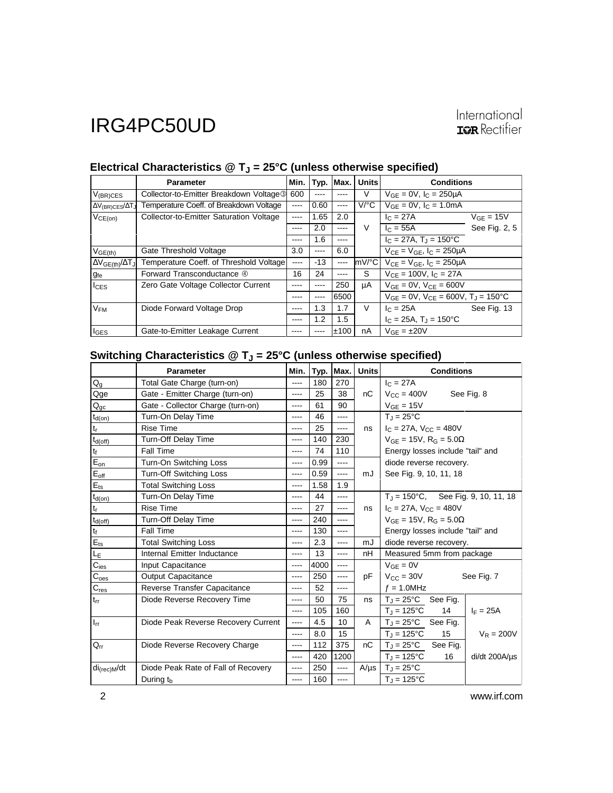# International<br>**IGR** Rectifier

|                                 | <b>Parameter</b>                                    | Min.  |       | Typ. Max.     | <b>Units</b>         | <b>Conditions</b>                                        |                |
|---------------------------------|-----------------------------------------------------|-------|-------|---------------|----------------------|----------------------------------------------------------|----------------|
| $V_{(BR)CES}$                   | Collector-to-Emitter Breakdown Voltage <sup>3</sup> | 600   | ----  | ----          | V                    | $V_{GE} = 0V$ , $I_C = 250 \mu A$                        |                |
| $\Delta V_{(BR)CES}/\Delta T_J$ | Temperature Coeff. of Breakdown Voltage             | ----  | 0.60  | $\cdots$      | $V$ <sup>o</sup> $C$ | $V_{GF} = 0V$ , $I_C = 1.0mA$                            |                |
| $V_{CE(on)}$                    | Collector-to-Emitter Saturation Voltage             | $---$ | 1.65  | 2.0           |                      | $I_C = 27A$                                              | $V_{GE} = 15V$ |
|                                 |                                                     |       | 2.0   | ----          | $\vee$               | $I_C = 55A$                                              | See Fig. 2, 5  |
|                                 |                                                     | ----  | 1.6   | ----          |                      | $I_C = 27A$ , $T_A = 150^{\circ}C$                       |                |
| V <sub>GE(th)</sub>             | Gate Threshold Voltage                              | 3.0   | ----  | 6.0           |                      | $V_{CE} = V_{GE}$ , $I_C = 250 \mu A$                    |                |
| $\Delta V_{GE(th)}/\Delta T_J$  | Temperature Coeff. of Threshold Voltage             | $---$ | $-13$ | $\frac{1}{2}$ | mV/°C                | $V_{CF} = V_{GF}$ , $I_C = 250 \mu A$                    |                |
| <b>g</b> fe                     | Forward Transconductance 4                          | 16    | 24    | $---$         | S                    | $V_{CF} = 100V$ , $I_C = 27A$                            |                |
| $I_{CES}$                       | Zero Gate Voltage Collector Current                 | ----  | ----  | 250           | μA                   | $V_{GF} = 0V$ , $V_{CF} = 600V$                          |                |
|                                 |                                                     |       | ----  | 6500          |                      | $V_{GF} = 0V$ , $V_{CF} = 600V$ , $T_{J} = 150^{\circ}C$ |                |
| $V_{FM}$                        | Diode Forward Voltage Drop                          | ----  | 1.3   | 1.7           | V                    | $IC = 25A$                                               | See Fig. 13    |
|                                 |                                                     | ----  | 1.2   | 1.5           |                      | $I_C = 25A$ , $T_J = 150^{\circ}C$                       |                |
| $I_{GES}$                       | Gate-to-Emitter Leakage Current                     |       |       | ±100          | nA                   | $V_{GF} = \pm 20V$                                       |                |

## Electrical Characteristics @ T<sub>J</sub> = 25°C (unless otherwise specified)

## Switching Characteristics @ T<sub>J</sub> = 25°C (unless otherwise specified)

|                             | <b>Parameter</b>                    | Min.     |      | Typ. Max. | <b>Units</b> | <b>Conditions</b>                              |                                  |                                               |  |
|-----------------------------|-------------------------------------|----------|------|-----------|--------------|------------------------------------------------|----------------------------------|-----------------------------------------------|--|
| $Q_g$                       | Total Gate Charge (turn-on)         | $\cdots$ | 180  | 270       |              | $I_C = 27A$                                    |                                  |                                               |  |
| Qge                         | Gate - Emitter Charge (turn-on)     | ----     | 25   | 38        | nC           | $V_{\text{CC}} = 400V$                         |                                  | See Fig. 8                                    |  |
| $Q_{gc}$                    | Gate - Collector Charge (turn-on)   | ----     | 61   | 90        |              | $V_{GE}$ = 15V                                 |                                  |                                               |  |
| $t_{d(on)}$                 | Turn-On Delay Time                  | ----     | 46   | $\cdots$  |              | $T_{\rm J}$ = 25°C                             |                                  |                                               |  |
| $t_{\sf r}$                 | <b>Rise Time</b>                    | ----     | 25   | ----      | ns           | $I_C = 27A$ , $V_{CC} = 480V$                  |                                  |                                               |  |
| $t_{d(off)}$                | Turn-Off Delay Time                 | ----     | 140  | 230       |              | $V_{GE} = 15V$ , R <sub>G</sub> = 5.0 $\Omega$ |                                  |                                               |  |
| $t_{\rm f}$                 | Fall Time                           | ----     | 74   | 110       |              |                                                | Energy losses include "tail" and |                                               |  |
| $E_{on}$                    | Turn-On Switching Loss              | ----     | 0.99 | ----      |              | diode reverse recovery.                        |                                  |                                               |  |
| $E_{off}$                   | <b>Turn-Off Switching Loss</b>      | ----     | 0.59 | $\cdots$  | mJ           | See Fig. 9, 10, 11, 18                         |                                  |                                               |  |
| $E_{ts}$                    | <b>Total Switching Loss</b>         | ----     | 1.58 | 1.9       |              |                                                |                                  |                                               |  |
| $t_{d(on)}$                 | Turn-On Delay Time                  | ----     | 44   | $---$     |              |                                                |                                  | $T_J = 150^{\circ}$ C, See Fig. 9, 10, 11, 18 |  |
| $t_{r}$                     | <b>Rise Time</b>                    | ----     | 27   | $\cdots$  | ns           | $I_C = 27A$ , $V_{CC} = 480V$                  |                                  |                                               |  |
| $t_{d(off)}$                | Turn-Off Delay Time                 | ----     | 240  | ----      |              | $V_{GF} = 15V$ , R <sub>G</sub> = 5.0 $\Omega$ |                                  |                                               |  |
| $\mathfrak{t}_{\mathsf{f}}$ | Fall Time                           | ----     | 130  | $\cdots$  |              | Energy losses include "tail" and               |                                  |                                               |  |
| $E_{ts}$                    | <b>Total Switching Loss</b>         | ----     | 2.3  | $\cdots$  | mJ           | diode reverse recovery.                        |                                  |                                               |  |
| LE                          | Internal Emitter Inductance         | ----     | 13   | ----      | nH           | Measured 5mm from package                      |                                  |                                               |  |
| $C_{\text{ies}}$            | Input Capacitance                   | ----     | 4000 | $\cdots$  |              | $V_{GF} = 0V$                                  |                                  |                                               |  |
| $C_{oes}$                   | <b>Output Capacitance</b>           | ----     | 250  | $\cdots$  | рF           | $V_{\text{CC}} = 30V$                          |                                  | See Fig. 7                                    |  |
| $C_{res}$                   | Reverse Transfer Capacitance        | ----     | 52   | ----      |              | $f = 1.0$ MHz                                  |                                  |                                               |  |
| $t_{rr}$                    | Diode Reverse Recovery Time         | ----     | 50   | 75        | ns           | $T_J = 25^{\circ}C$ See Fig.                   |                                  |                                               |  |
|                             |                                     | $---$    | 105  | 160       |              | $T_{\rm J} = 125^{\circ}C$                     | 14                               | $I_F = 25A$                                   |  |
| $I_{rr}$                    | Diode Peak Reverse Recovery Current | ----     | 4.5  | 10        | A            | $T_J = 25^{\circ}C$ See Fig.                   |                                  |                                               |  |
|                             |                                     | $\cdots$ | 8.0  | 15        |              | $T_J = 125$ °C                                 | 15                               | $V_R = 200V$                                  |  |
| $Q_{rr}$                    | Diode Reverse Recovery Charge       | ----     | 112  | 375       | пC           | $T_{\rm J}$ = 25°C                             | See Fig.                         |                                               |  |
|                             |                                     | $---$    | 420  | 1200      |              | $T_J = 125$ °C                                 | 16                               | di/dt 200A/us                                 |  |
| $di_{(rec)M}/dt$            | Diode Peak Rate of Fall of Recovery | $\cdots$ | 250  | ----      | $A/\mu s$    | $T_J = 25$ °C                                  |                                  |                                               |  |
|                             | During $t_{\rm b}$                  | ----     | 160  | ----      |              | $T_J = 125$ °C                                 |                                  |                                               |  |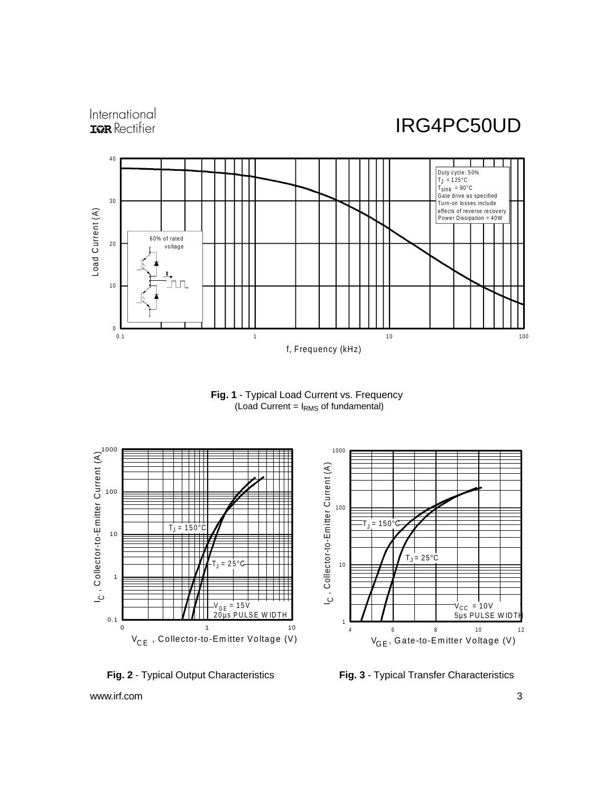







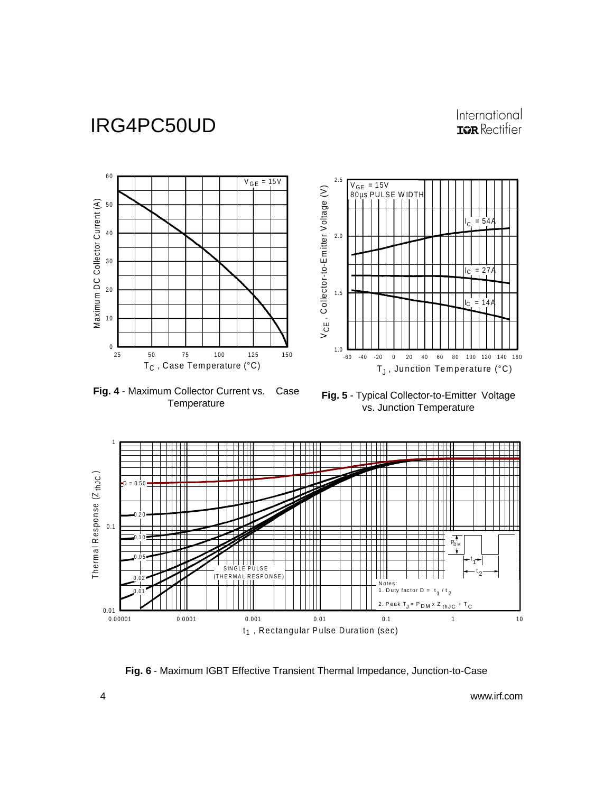## International **IGR** Rectifier

 $\begin{array}{c} 1 \mid 1 \\ 0 \end{array}$ 

 $\mathsf{I}_\mathsf{C}$ 

lc.

C

 $= 27$ 

 $= 14$ 



**Fig. 4** - Maximum Collector Current vs. Case **Temperature** 



**Fig. 5** - Typical Collector-to-Emitter Voltage vs. Junction Temperature



**Fig. 6** - Maximum IGBT Effective Transient Thermal Impedance, Junction-to-Case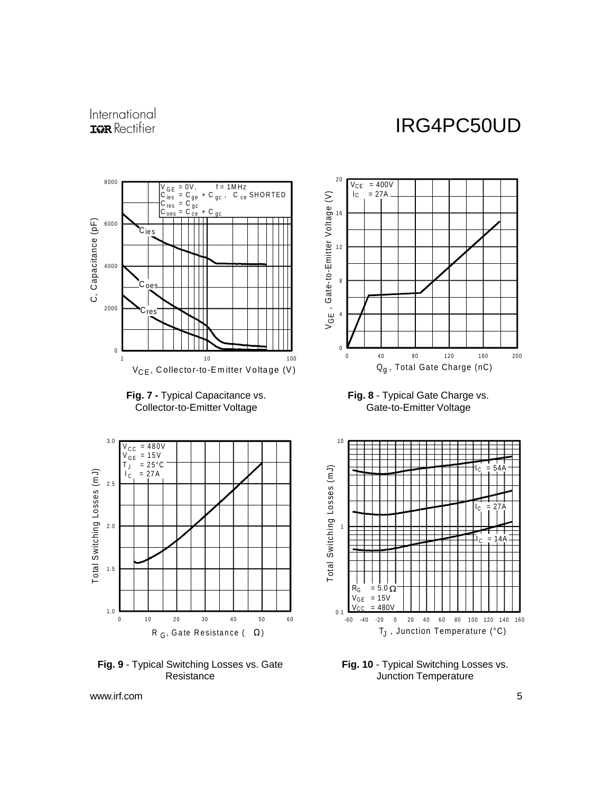## International **IOR** Rectifier

# IRG4PC50UD



**Fig. 7 -** Typical Capacitance vs. Collector-to-Emitter Voltage



**Fig. 9** - Typical Switching Losses vs. Gate **Resistance** 



**Fig. 8** - Typical Gate Charge vs. Gate-to-Emitter Voltage



**Fig. 10** - Typical Switching Losses vs. Junction Temperature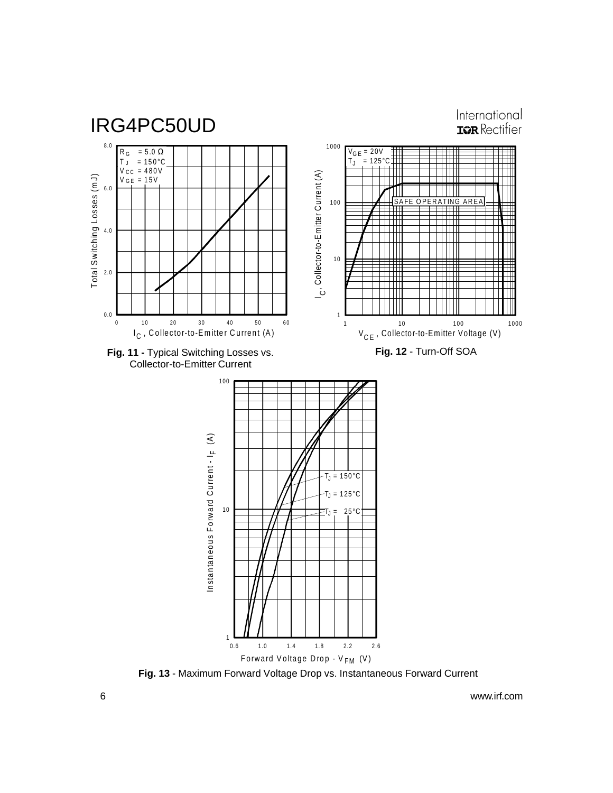

**Fig. 13** - Maximum Forward Voltage Drop vs. Instantaneous Forward Current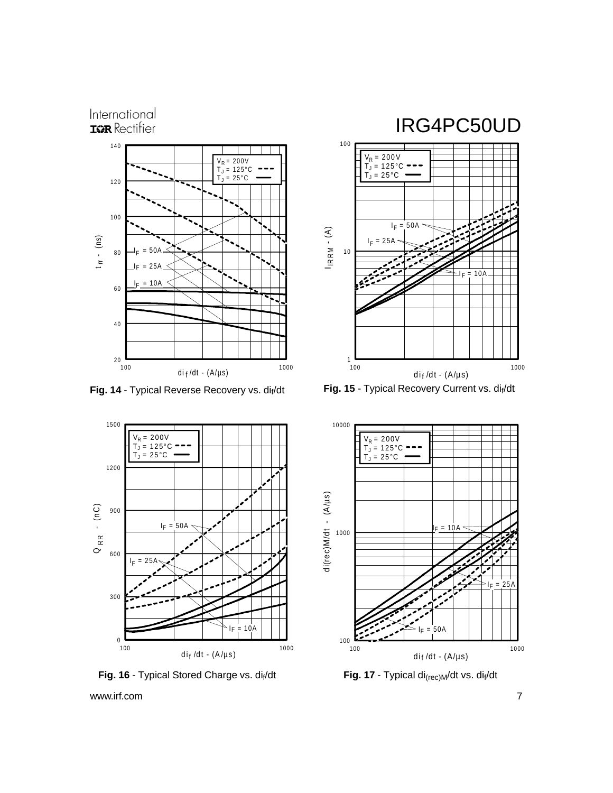#### International **IOR** Rectifier





Fig. 16 - Typical Stored Charge vs. di<sub>f</sub>/dt **Fig. 17** - Typical di<sub>(rec)M</sub>/dt vs. di<sub>f</sub>/dt



## IRG4PC50UD



Fig. 14 - Typical Reverse Recovery vs. di<sub>f</sub>/dt Fig. 15 - Typical Recovery Current vs. dif/dt

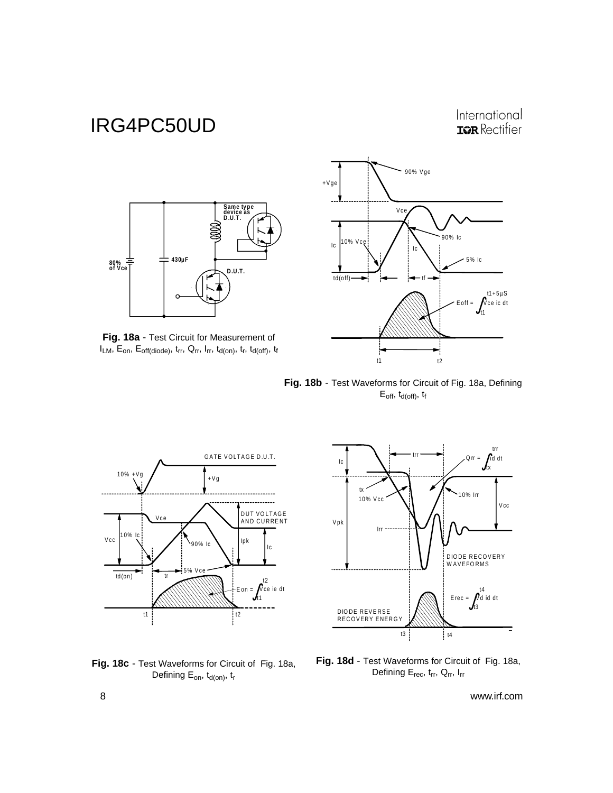### International **IGR** Rectifier







**Fig. 18b** - Test Waveforms for Circuit of Fig. 18a, Defining  $E_{off}$ ,  $t_{d(off)}$ ,  $t_f$ 







**Fig. 18d** - Test Waveforms for Circuit of Fig. 18a, Defining E<sub>rec</sub>, t<sub>rr</sub>, Q<sub>rr</sub>, I<sub>rr</sub>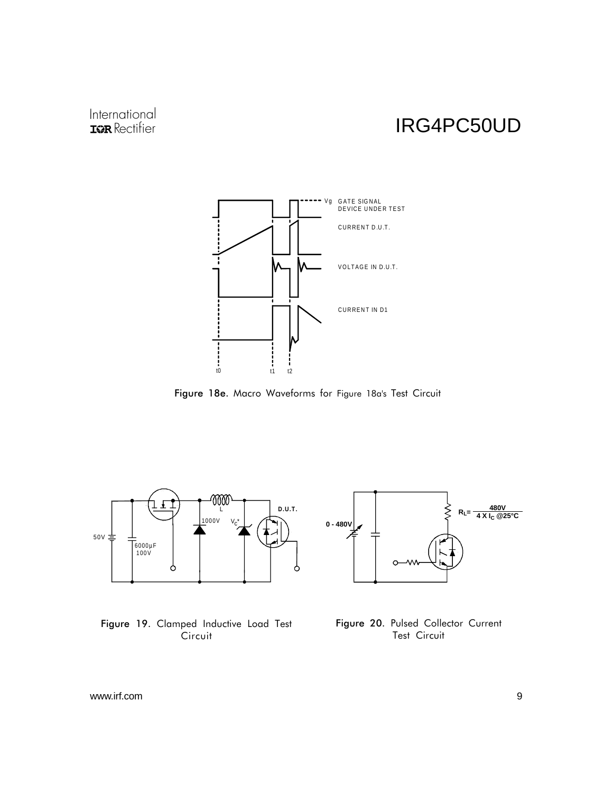## International **IOR** Rectifier

# IRG4PC50UD



Figure 18e. Macro Waveforms for Figure 18a's Test Circuit



Figure 19. Clamped Inductive Load Test Circuit